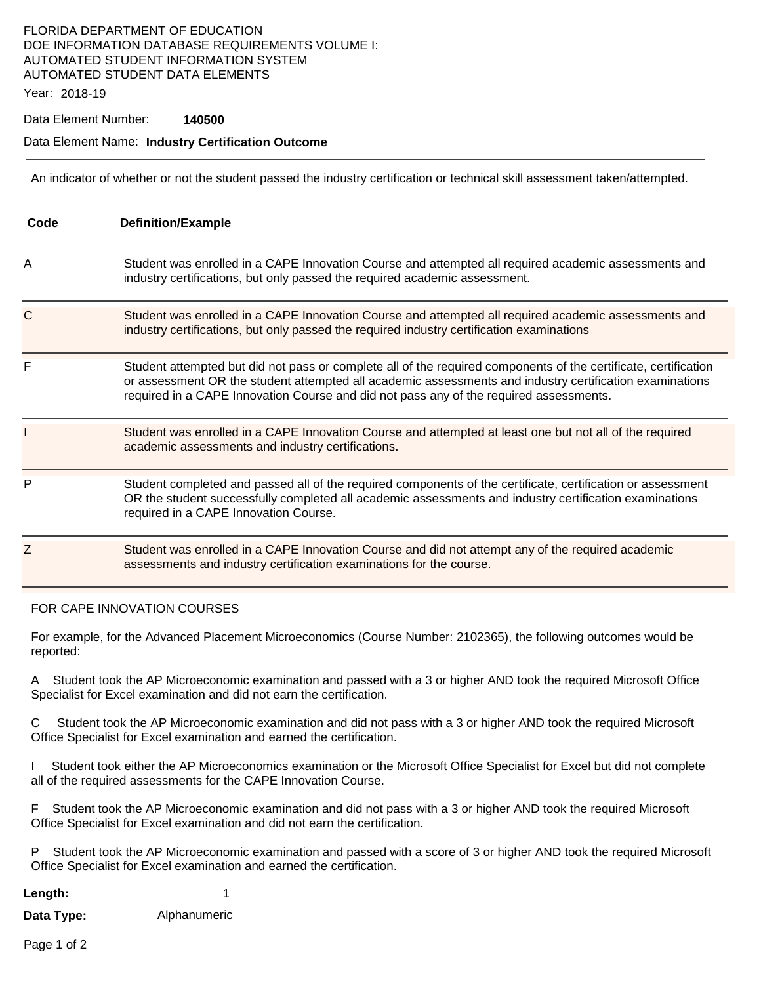# FLORIDA DEPARTMENT OF EDUCATION DOE INFORMATION DATABASE REQUIREMENTS VOLUME I: AUTOMATED STUDENT INFORMATION SYSTEM AUTOMATED STUDENT DATA ELEMENTS

Year: 2018-19

#### Data Element Number: **140500**

### Data Element Name: **Industry Certification Outcome**

An indicator of whether or not the student passed the industry certification or technical skill assessment taken/attempted.

| Code | <b>Definition/Example</b>                                                                                                                                                                                                                                                                                            |
|------|----------------------------------------------------------------------------------------------------------------------------------------------------------------------------------------------------------------------------------------------------------------------------------------------------------------------|
| Α    | Student was enrolled in a CAPE Innovation Course and attempted all required academic assessments and<br>industry certifications, but only passed the required academic assessment.                                                                                                                                   |
| C    | Student was enrolled in a CAPE Innovation Course and attempted all required academic assessments and<br>industry certifications, but only passed the required industry certification examinations                                                                                                                    |
| F    | Student attempted but did not pass or complete all of the required components of the certificate, certification<br>or assessment OR the student attempted all academic assessments and industry certification examinations<br>required in a CAPE Innovation Course and did not pass any of the required assessments. |
|      | Student was enrolled in a CAPE Innovation Course and attempted at least one but not all of the required<br>academic assessments and industry certifications.                                                                                                                                                         |
| P    | Student completed and passed all of the required components of the certificate, certification or assessment<br>OR the student successfully completed all academic assessments and industry certification examinations<br>required in a CAPE Innovation Course.                                                       |
| Ζ    | Student was enrolled in a CAPE Innovation Course and did not attempt any of the required academic<br>assessments and industry certification examinations for the course.                                                                                                                                             |

#### FOR CAPE INNOVATION COURSES

For example, for the Advanced Placement Microeconomics (Course Number: 2102365), the following outcomes would be reported:

A Student took the AP Microeconomic examination and passed with a 3 or higher AND took the required Microsoft Office Specialist for Excel examination and did not earn the certification.

C Student took the AP Microeconomic examination and did not pass with a 3 or higher AND took the required Microsoft Office Specialist for Excel examination and earned the certification.

I Student took either the AP Microeconomics examination or the Microsoft Office Specialist for Excel but did not complete all of the required assessments for the CAPE Innovation Course.

F Student took the AP Microeconomic examination and did not pass with a 3 or higher AND took the required Microsoft Office Specialist for Excel examination and did not earn the certification.

P Student took the AP Microeconomic examination and passed with a score of 3 or higher AND took the required Microsoft Office Specialist for Excel examination and earned the certification.

| Length:    |              |
|------------|--------------|
| Data Type: | Alphanumeric |

Page 1 of 2